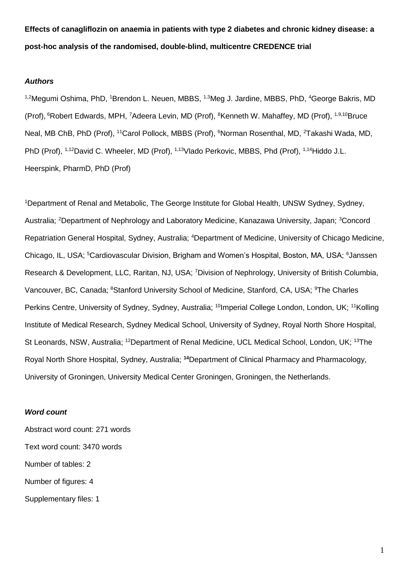**Effects of canagliflozin on anaemia in patients with type 2 diabetes and chronic kidney disease: a post-hoc analysis of the randomised, double-blind, multicentre CREDENCE trial**

### *Authors*

<sup>1,2</sup>Megumi Oshima, PhD, <sup>1</sup>Brendon L. Neuen, MBBS, <sup>1,3</sup>Meg J. Jardine, MBBS, PhD, <sup>4</sup>George Bakris, MD (Prof), <sup>6</sup>Robert Edwards, MPH, <sup>7</sup>Adeera Levin, MD (Prof), <sup>8</sup>Kenneth W. Mahaffey, MD (Prof), <sup>1,9,10</sup>Bruce Neal, MB ChB, PhD (Prof), <sup>11</sup>Carol Pollock, MBBS (Prof), <sup>6</sup>Norman Rosenthal, MD, <sup>2</sup>Takashi Wada, MD, PhD (Prof), <sup>1,12</sup>David C. Wheeler, MD (Prof), <sup>1,13</sup>Vlado Perkovic, MBBS, Phd (Prof), <sup>1,14</sup>Hiddo J.L. Heerspink, PharmD, PhD (Prof)

<sup>1</sup>Department of Renal and Metabolic, The George Institute for Global Health, UNSW Sydney, Sydney, Australia; <sup>2</sup>Department of Nephrology and Laboratory Medicine, Kanazawa University, Japan; <sup>3</sup>Concord Repatriation General Hospital, Sydney, Australia; <sup>4</sup>Department of Medicine, University of Chicago Medicine, Chicago, IL, USA; <sup>5</sup>Cardiovascular Division, Brigham and Women's Hospital, Boston, MA, USA; <sup>6</sup>Janssen Research & Development, LLC, Raritan, NJ, USA; <sup>7</sup>Division of Nephrology, University of British Columbia, Vancouver, BC, Canada; <sup>8</sup>Stanford University School of Medicine, Stanford, CA, USA; <sup>9</sup>The Charles Perkins Centre, University of Sydney, Sydney, Australia; <sup>10</sup>Imperial College London, London, UK; <sup>11</sup>Kolling Institute of Medical Research, Sydney Medical School, University of Sydney, Royal North Shore Hospital, St Leonards, NSW, Australia; <sup>12</sup>Department of Renal Medicine, UCL Medical School, London, UK; <sup>13</sup>The Royal North Shore Hospital, Sydney, Australia; **<sup>14</sup>**Department of Clinical Pharmacy and Pharmacology, University of Groningen, University Medical Center Groningen, Groningen, the Netherlands.

## *Word count*

Abstract word count: 271 words Text word count: 3470 words Number of tables: 2 Number of figures: 4 Supplementary files: 1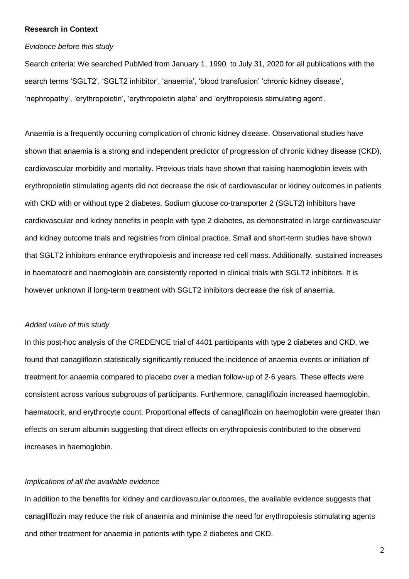## **Research in Context**

#### *Evidence before this study*

Search criteria: We searched PubMed from January 1, 1990, to July 31, 2020 for all publications with the search terms 'SGLT2', 'SGLT2 inhibitor', 'anaemia', 'blood transfusion' 'chronic kidney disease', 'nephropathy', 'erythropoietin', 'erythropoietin alpha' and 'erythropoiesis stimulating agent'.

Anaemia is a frequently occurring complication of chronic kidney disease. Observational studies have shown that anaemia is a strong and independent predictor of progression of chronic kidney disease (CKD), cardiovascular morbidity and mortality. Previous trials have shown that raising haemoglobin levels with erythropoietin stimulating agents did not decrease the risk of cardiovascular or kidney outcomes in patients with CKD with or without type 2 diabetes. Sodium glucose co-transporter 2 (SGLT2) inhibitors have cardiovascular and kidney benefits in people with type 2 diabetes, as demonstrated in large cardiovascular and kidney outcome trials and registries from clinical practice. Small and short-term studies have shown that SGLT2 inhibitors enhance erythropoiesis and increase red cell mass. Additionally, sustained increases in haematocrit and haemoglobin are consistently reported in clinical trials with SGLT2 inhibitors. It is however unknown if long-term treatment with SGLT2 inhibitors decrease the risk of anaemia.

## *Added value of this study*

In this post-hoc analysis of the CREDENCE trial of 4401 participants with type 2 diabetes and CKD, we found that canagliflozin statistically significantly reduced the incidence of anaemia events or initiation of treatment for anaemia compared to placebo over a median follow-up of 2·6 years. These effects were consistent across various subgroups of participants. Furthermore, canagliflozin increased haemoglobin, haematocrit, and erythrocyte count. Proportional effects of canagliflozin on haemoglobin were greater than effects on serum albumin suggesting that direct effects on erythropoiesis contributed to the observed increases in haemoglobin.

## *Implications of all the available evidence*

In addition to the benefits for kidney and cardiovascular outcomes, the available evidence suggests that canagliflozin may reduce the risk of anaemia and minimise the need for erythropoiesis stimulating agents and other treatment for anaemia in patients with type 2 diabetes and CKD.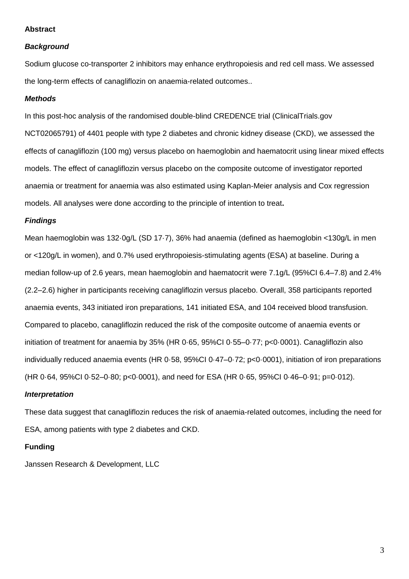## **Abstract**

## *Background*

Sodium glucose co-transporter 2 inhibitors may enhance erythropoiesis and red cell mass. We assessed the long-term effects of canagliflozin on anaemia-related outcomes..

## *Methods*

In this post-hoc analysis of the randomised double-blind CREDENCE trial (ClinicalTrials.gov NCT02065791) of 4401 people with type 2 diabetes and chronic kidney disease (CKD), we assessed the effects of canagliflozin (100 mg) versus placebo on haemoglobin and haematocrit using linear mixed effects models. The effect of canagliflozin versus placebo on the composite outcome of investigator reported anaemia or treatment for anaemia was also estimated using Kaplan-Meier analysis and Cox regression models. All analyses were done according to the principle of intention to treat**.**

## *Findings*

Mean haemoglobin was 132·0g/L (SD 17·7), 36% had anaemia (defined as haemoglobin <130g/L in men or <120g/L in women), and 0.7% used erythropoiesis-stimulating agents (ESA) at baseline. During a median follow-up of 2.6 years, mean haemoglobin and haematocrit were 7.1g/L (95%CI 6.4–7.8) and 2.4% (2.2–2.6) higher in participants receiving canagliflozin versus placebo. Overall, 358 participants reported anaemia events, 343 initiated iron preparations, 141 initiated ESA, and 104 received blood transfusion. Compared to placebo, canagliflozin reduced the risk of the composite outcome of anaemia events or initiation of treatment for anaemia by 35% (HR 0·65, 95%CI 0·55–0·77; p<0·0001). Canagliflozin also individually reduced anaemia events (HR 0·58, 95%CI 0·47–0·72; p<0·0001), initiation of iron preparations (HR 0·64, 95%CI 0·52–0·80; p<0·0001), and need for ESA (HR 0·65, 95%CI 0·46–0·91; p=0·012).

## *Interpretation*

These data suggest that canagliflozin reduces the risk of anaemia-related outcomes, including the need for ESA, among patients with type 2 diabetes and CKD.

## **Funding**

Janssen Research & Development, LLC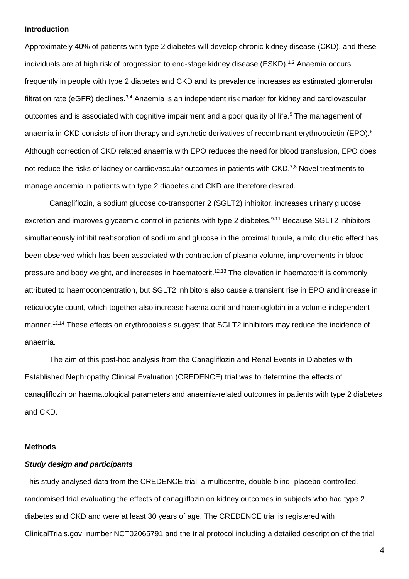#### **Introduction**

Approximately 40% of patients with type 2 diabetes will develop chronic kidney disease (CKD), and these individuals are at high risk of progression to end-stage kidney disease (ESKD).<sup>1,2</sup> Anaemia occurs frequently in people with type 2 diabetes and CKD and its prevalence increases as estimated glomerular filtration rate (eGFR) declines.<sup>3,4</sup> Anaemia is an independent risk marker for kidney and cardiovascular outcomes and is associated with cognitive impairment and a poor quality of life.<sup>5</sup> The management of anaemia in CKD consists of iron therapy and synthetic derivatives of recombinant erythropoietin (EPO).<sup>6</sup> Although correction of CKD related anaemia with EPO reduces the need for blood transfusion, EPO does not reduce the risks of kidney or cardiovascular outcomes in patients with CKD.<sup>7,8</sup> Novel treatments to manage anaemia in patients with type 2 diabetes and CKD are therefore desired.

Canagliflozin, a sodium glucose co-transporter 2 (SGLT2) inhibitor, increases urinary glucose excretion and improves glycaemic control in patients with type 2 diabetes.<sup>9-11</sup> Because SGLT2 inhibitors simultaneously inhibit reabsorption of sodium and glucose in the proximal tubule, a mild diuretic effect has been observed which has been associated with contraction of plasma volume, improvements in blood pressure and body weight, and increases in haematocrit.<sup>12,13</sup> The elevation in haematocrit is commonly attributed to haemoconcentration, but SGLT2 inhibitors also cause a transient rise in EPO and increase in reticulocyte count, which together also increase haematocrit and haemoglobin in a volume independent manner.<sup>12,14</sup> These effects on erythropoiesis suggest that SGLT2 inhibitors may reduce the incidence of anaemia.

The aim of this post-hoc analysis from the Canagliflozin and Renal Events in Diabetes with Established Nephropathy Clinical Evaluation (CREDENCE) trial was to determine the effects of canagliflozin on haematological parameters and anaemia-related outcomes in patients with type 2 diabetes and CKD.

## **Methods**

## *Study design and participants*

This study analysed data from the CREDENCE trial, a multicentre, double-blind, placebo-controlled, randomised trial evaluating the effects of canagliflozin on kidney outcomes in subjects who had type 2 diabetes and CKD and were at least 30 years of age. The CREDENCE trial is registered with ClinicalTrials.gov, number NCT02065791 and the trial protocol including a detailed description of the trial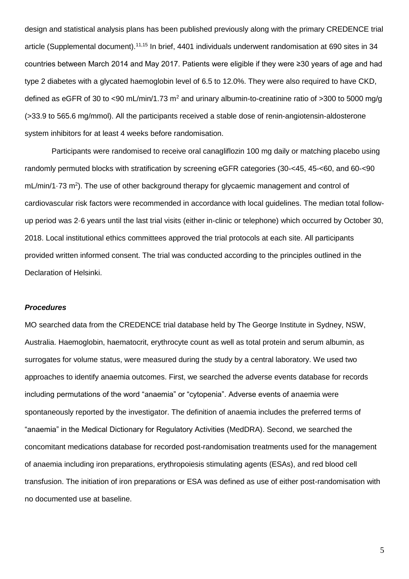design and statistical analysis plans has been published previously along with the primary CREDENCE trial article (Supplemental document).11,15 In brief, 4401 individuals underwent randomisation at 690 sites in 34 countries between March 2014 and May 2017. Patients were eligible if they were ≥30 years of age and had type 2 diabetes with a glycated haemoglobin level of 6.5 to 12.0%. They were also required to have CKD, defined as eGFR of 30 to <90 mL/min/1.73 m<sup>2</sup> and urinary albumin-to-creatinine ratio of >300 to 5000 mg/g (>33.9 to 565.6 mg/mmol). All the participants received a stable dose of renin-angiotensin-aldosterone system inhibitors for at least 4 weeks before randomisation.

Participants were randomised to receive oral canagliflozin 100 mg daily or matching placebo using randomly permuted blocks with stratification by screening eGFR categories (30-<45, 45-<60, and 60-<90  $mL/min/1.73$  m<sup>2</sup>). The use of other background therapy for glycaemic management and control of cardiovascular risk factors were recommended in accordance with local guidelines. The median total followup period was 2·6 years until the last trial visits (either in-clinic or telephone) which occurred by October 30, 2018. Local institutional ethics committees approved the trial protocols at each site. All participants provided written informed consent. The trial was conducted according to the principles outlined in the Declaration of Helsinki.

## *Procedures*

MO searched data from the CREDENCE trial database held by The George Institute in Sydney, NSW, Australia. Haemoglobin, haematocrit, erythrocyte count as well as total protein and serum albumin, as surrogates for volume status, were measured during the study by a central laboratory. We used two approaches to identify anaemia outcomes. First, we searched the adverse events database for records including permutations of the word "anaemia" or "cytopenia". Adverse events of anaemia were spontaneously reported by the investigator. The definition of anaemia includes the preferred terms of "anaemia" in the Medical Dictionary for Regulatory Activities (MedDRA). Second, we searched the concomitant medications database for recorded post-randomisation treatments used for the management of anaemia including iron preparations, erythropoiesis stimulating agents (ESAs), and red blood cell transfusion. The initiation of iron preparations or ESA was defined as use of either post-randomisation with no documented use at baseline.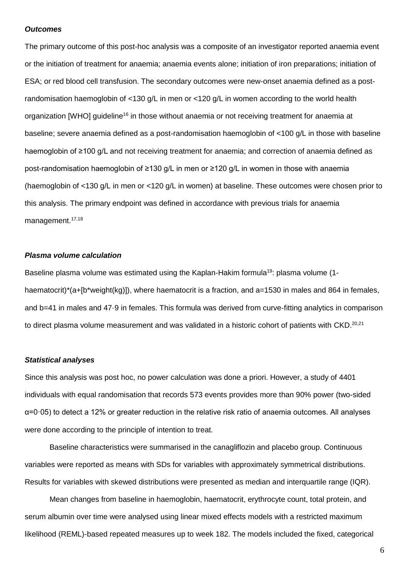## *Outcomes*

The primary outcome of this post-hoc analysis was a composite of an investigator reported anaemia event or the initiation of treatment for anaemia; anaemia events alone; initiation of iron preparations; initiation of ESA; or red blood cell transfusion. The secondary outcomes were new-onset anaemia defined as a postrandomisation haemoglobin of <130 g/L in men or <120 g/L in women according to the world health organization [WHO] guideline<sup>16</sup> in those without anaemia or not receiving treatment for anaemia at baseline; severe anaemia defined as a post-randomisation haemoglobin of <100 g/L in those with baseline haemoglobin of ≥100 g/L and not receiving treatment for anaemia; and correction of anaemia defined as post-randomisation haemoglobin of ≥130 g/L in men or ≥120 g/L in women in those with anaemia (haemoglobin of <130 g/L in men or <120 g/L in women) at baseline. These outcomes were chosen prior to this analysis. The primary endpoint was defined in accordance with previous trials for anaemia management. 17,18

## *Plasma volume calculation*

Baseline plasma volume was estimated using the Kaplan-Hakim formula<sup>19</sup>: plasma volume (1haematocrit)\*(a+[b\*weight(kg)]), where haematocrit is a fraction, and a=1530 in males and 864 in females, and b=41 in males and 47.9 in females. This formula was derived from curve-fitting analytics in comparison to direct plasma volume measurement and was validated in a historic cohort of patients with CKD.<sup>20,21</sup>

## *Statistical analyses*

Since this analysis was post hoc, no power calculation was done a priori. However, a study of 4401 individuals with equal randomisation that records 573 events provides more than 90% power (two-sided α=0·05) to detect a 12% or greater reduction in the relative risk ratio of anaemia outcomes. All analyses were done according to the principle of intention to treat.

Baseline characteristics were summarised in the canagliflozin and placebo group. Continuous variables were reported as means with SDs for variables with approximately symmetrical distributions. Results for variables with skewed distributions were presented as median and interquartile range (IQR).

Mean changes from baseline in haemoglobin, haematocrit, erythrocyte count, total protein, and serum albumin over time were analysed using linear mixed effects models with a restricted maximum likelihood (REML)-based repeated measures up to week 182. The models included the fixed, categorical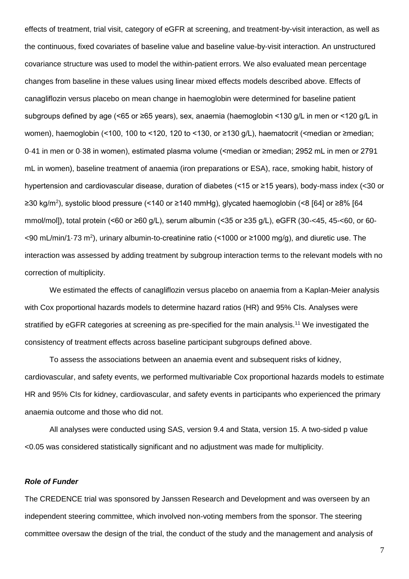effects of treatment, trial visit, category of eGFR at screening, and treatment-by-visit interaction, as well as the continuous, fixed covariates of baseline value and baseline value-by-visit interaction. An unstructured covariance structure was used to model the within-patient errors. We also evaluated mean percentage changes from baseline in these values using linear mixed effects models described above. Effects of canagliflozin versus placebo on mean change in haemoglobin were determined for baseline patient subgroups defined by age (<65 or ≥65 years), sex, anaemia (haemoglobin <130 g/L in men or <120 g/L in women), haemoglobin (<100, 100 to <120, 120 to <130, or ≥130 g/L), haematocrit (<median or ≥median; 0·41 in men or 0·38 in women), estimated plasma volume (<median or ≥median; 2952 mL in men or 2791 mL in women), baseline treatment of anaemia (iron preparations or ESA), race, smoking habit, history of hypertension and cardiovascular disease, duration of diabetes (<15 or ≥15 years), body-mass index (<30 or ≥30 kg/m<sup>2</sup> ), systolic blood pressure (<140 or ≥140 mmHg), glycated haemoglobin (<8 [64] or ≥8% [64 mmol/mol]), total protein (<60 or ≥60 g/L), serum albumin (<35 or ≥35 g/L), eGFR (30-<45, 45-<60, or 60- <90 mL/min/1·73 m<sup>2</sup>), urinary albumin-to-creatinine ratio (<1000 or ≥1000 mg/g), and diuretic use. The interaction was assessed by adding treatment by subgroup interaction terms to the relevant models with no correction of multiplicity.

We estimated the effects of canagliflozin versus placebo on anaemia from a Kaplan-Meier analysis with Cox proportional hazards models to determine hazard ratios (HR) and 95% CIs. Analyses were stratified by eGFR categories at screening as pre-specified for the main analysis.<sup>11</sup> We investigated the consistency of treatment effects across baseline participant subgroups defined above.

To assess the associations between an anaemia event and subsequent risks of kidney, cardiovascular, and safety events, we performed multivariable Cox proportional hazards models to estimate HR and 95% CIs for kidney, cardiovascular, and safety events in participants who experienced the primary anaemia outcome and those who did not.

All analyses were conducted using SAS, version 9.4 and Stata, version 15. A two-sided p value <0.05 was considered statistically significant and no adjustment was made for multiplicity.

#### *Role of Funder*

The CREDENCE trial was sponsored by Janssen Research and Development and was overseen by an independent steering committee, which involved non-voting members from the sponsor. The steering committee oversaw the design of the trial, the conduct of the study and the management and analysis of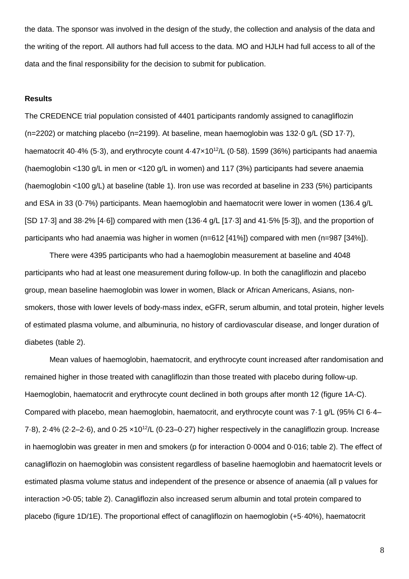the data. The sponsor was involved in the design of the study, the collection and analysis of the data and the writing of the report. All authors had full access to the data. MO and HJLH had full access to all of the data and the final responsibility for the decision to submit for publication.

## **Results**

The CREDENCE trial population consisted of 4401 participants randomly assigned to canagliflozin (n=2202) or matching placebo (n=2199). At baseline, mean haemoglobin was 132·0 g/L (SD 17·7), haematocrit 40 $\cdot$ 4% (5 $\cdot$ 3), and erythrocyte count  $4\cdot47\times10^{12}$ /L (0 $\cdot$ 58). 1599 (36%) participants had anaemia (haemoglobin <130 g/L in men or <120 g/L in women) and 117 (3%) participants had severe anaemia (haemoglobin <100 g/L) at baseline (table 1). Iron use was recorded at baseline in 233 (5%) participants and ESA in 33 (0·7%) participants. Mean haemoglobin and haematocrit were lower in women (136.4 g/L [SD 17·3] and 38·2% [4·6]) compared with men (136·4 g/L [17·3] and 41·5% [5·3]), and the proportion of participants who had anaemia was higher in women (n=612 [41%]) compared with men (n=987 [34%]).

There were 4395 participants who had a haemoglobin measurement at baseline and 4048 participants who had at least one measurement during follow-up. In both the canagliflozin and placebo group, mean baseline haemoglobin was lower in women, Black or African Americans, Asians, nonsmokers, those with lower levels of body-mass index, eGFR, serum albumin, and total protein, higher levels of estimated plasma volume, and albuminuria, no history of cardiovascular disease, and longer duration of diabetes (table 2).

Mean values of haemoglobin, haematocrit, and erythrocyte count increased after randomisation and remained higher in those treated with canagliflozin than those treated with placebo during follow-up. Haemoglobin, haematocrit and erythrocyte count declined in both groups after month 12 (figure 1A-C). Compared with placebo, mean haemoglobin, haematocrit, and erythrocyte count was 7·1 g/L (95% CI 6·4– 7.8), 2.4% (2.2–2.6), and  $0.25 \times 10^{12}$ /L (0.23–0.27) higher respectively in the canagliflozin group. Increase in haemoglobin was greater in men and smokers (p for interaction 0·0004 and 0·016; table 2). The effect of canagliflozin on haemoglobin was consistent regardless of baseline haemoglobin and haematocrit levels or estimated plasma volume status and independent of the presence or absence of anaemia (all p values for interaction >0·05; table 2). Canagliflozin also increased serum albumin and total protein compared to placebo (figure 1D/1E). The proportional effect of canagliflozin on haemoglobin (+5·40%), haematocrit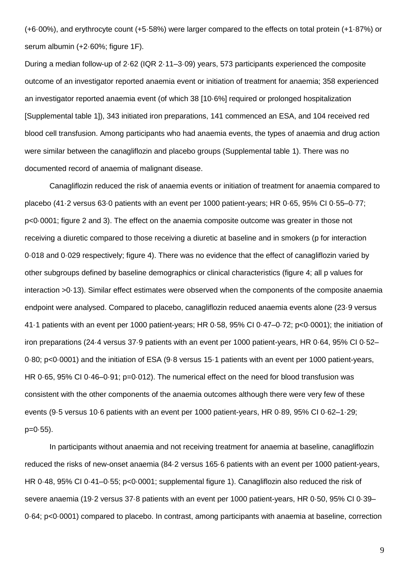(+6·00%), and erythrocyte count (+5·58%) were larger compared to the effects on total protein (+1·87%) or serum albumin (+2·60%; figure 1F).

During a median follow-up of 2·62 (IQR 2·11–3·09) years, 573 participants experienced the composite outcome of an investigator reported anaemia event or initiation of treatment for anaemia; 358 experienced an investigator reported anaemia event (of which 38 [10·6%] required or prolonged hospitalization [Supplemental table 1]), 343 initiated iron preparations, 141 commenced an ESA, and 104 received red blood cell transfusion. Among participants who had anaemia events, the types of anaemia and drug action were similar between the canagliflozin and placebo groups (Supplemental table 1). There was no documented record of anaemia of malignant disease.

Canagliflozin reduced the risk of anaemia events or initiation of treatment for anaemia compared to placebo (41·2 versus 63·0 patients with an event per 1000 patient-years; HR 0·65, 95% CI 0·55–0·77; p<0·0001; figure 2 and 3). The effect on the anaemia composite outcome was greater in those not receiving a diuretic compared to those receiving a diuretic at baseline and in smokers (p for interaction 0·018 and 0·029 respectively; figure 4). There was no evidence that the effect of canagliflozin varied by other subgroups defined by baseline demographics or clinical characteristics (figure 4; all p values for interaction >0·13). Similar effect estimates were observed when the components of the composite anaemia endpoint were analysed. Compared to placebo, canagliflozin reduced anaemia events alone (23·9 versus 41·1 patients with an event per 1000 patient-years; HR 0·58, 95% CI 0·47–0·72; p<0·0001); the initiation of iron preparations (24·4 versus 37·9 patients with an event per 1000 patient-years, HR 0·64, 95% CI 0·52– 0·80; p<0·0001) and the initiation of ESA (9·8 versus 15·1 patients with an event per 1000 patient-years, HR 0.65, 95% CI 0.46–0.91; p=0.012). The numerical effect on the need for blood transfusion was consistent with the other components of the anaemia outcomes although there were very few of these events (9·5 versus 10·6 patients with an event per 1000 patient-years, HR 0·89, 95% CI 0·62–1·29;  $p=0.55$ ).

In participants without anaemia and not receiving treatment for anaemia at baseline, canagliflozin reduced the risks of new-onset anaemia (84·2 versus 165·6 patients with an event per 1000 patient-years, HR 0·48, 95% CI 0·41–0·55; p<0·0001; supplemental figure 1). Canagliflozin also reduced the risk of severe anaemia (19·2 versus 37·8 patients with an event per 1000 patient-years, HR 0·50, 95% CI 0·39– 0·64; p<0·0001) compared to placebo. In contrast, among participants with anaemia at baseline, correction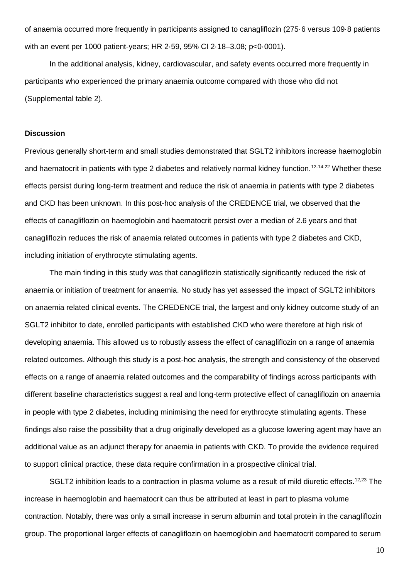of anaemia occurred more frequently in participants assigned to canagliflozin (275·6 versus 109·8 patients with an event per 1000 patient-years; HR 2·59, 95% CI 2·18–3.08; p<0·0001).

In the additional analysis, kidney, cardiovascular, and safety events occurred more frequently in participants who experienced the primary anaemia outcome compared with those who did not (Supplemental table 2).

## **Discussion**

Previous generally short-term and small studies demonstrated that SGLT2 inhibitors increase haemoglobin and haematocrit in patients with type 2 diabetes and relatively normal kidney function.12-14,22 Whether these effects persist during long-term treatment and reduce the risk of anaemia in patients with type 2 diabetes and CKD has been unknown. In this post-hoc analysis of the CREDENCE trial, we observed that the effects of canagliflozin on haemoglobin and haematocrit persist over a median of 2.6 years and that canagliflozin reduces the risk of anaemia related outcomes in patients with type 2 diabetes and CKD, including initiation of erythrocyte stimulating agents.

The main finding in this study was that canagliflozin statistically significantly reduced the risk of anaemia or initiation of treatment for anaemia. No study has yet assessed the impact of SGLT2 inhibitors on anaemia related clinical events. The CREDENCE trial, the largest and only kidney outcome study of an SGLT2 inhibitor to date, enrolled participants with established CKD who were therefore at high risk of developing anaemia. This allowed us to robustly assess the effect of canagliflozin on a range of anaemia related outcomes. Although this study is a post-hoc analysis, the strength and consistency of the observed effects on a range of anaemia related outcomes and the comparability of findings across participants with different baseline characteristics suggest a real and long-term protective effect of canagliflozin on anaemia in people with type 2 diabetes, including minimising the need for erythrocyte stimulating agents. These findings also raise the possibility that a drug originally developed as a glucose lowering agent may have an additional value as an adjunct therapy for anaemia in patients with CKD. To provide the evidence required to support clinical practice, these data require confirmation in a prospective clinical trial.

SGLT2 inhibition leads to a contraction in plasma volume as a result of mild diuretic effects.<sup>12,23</sup> The increase in haemoglobin and haematocrit can thus be attributed at least in part to plasma volume contraction. Notably, there was only a small increase in serum albumin and total protein in the canagliflozin group. The proportional larger effects of canagliflozin on haemoglobin and haematocrit compared to serum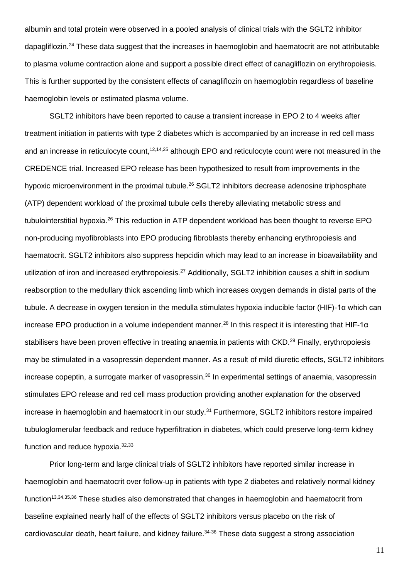albumin and total protein were observed in a pooled analysis of clinical trials with the SGLT2 inhibitor dapagliflozin.<sup>24</sup> These data suggest that the increases in haemoglobin and haematocrit are not attributable to plasma volume contraction alone and support a possible direct effect of canagliflozin on erythropoiesis. This is further supported by the consistent effects of canagliflozin on haemoglobin regardless of baseline haemoglobin levels or estimated plasma volume.

SGLT2 inhibitors have been reported to cause a transient increase in EPO 2 to 4 weeks after treatment initiation in patients with type 2 diabetes which is accompanied by an increase in red cell mass and an increase in reticulocyte count,<sup>12,14,25</sup> although EPO and reticulocyte count were not measured in the CREDENCE trial. Increased EPO release has been hypothesized to result from improvements in the hypoxic microenvironment in the proximal tubule.<sup>26</sup> SGLT2 inhibitors decrease adenosine triphosphate (ATP) dependent workload of the proximal tubule cells thereby alleviating metabolic stress and tubulointerstitial hypoxia.<sup>26</sup> This reduction in ATP dependent workload has been thought to reverse EPO non-producing myofibroblasts into EPO producing fibroblasts thereby enhancing erythropoiesis and haematocrit. SGLT2 inhibitors also suppress hepcidin which may lead to an increase in bioavailability and utilization of iron and increased erythropoiesis.<sup>27</sup> Additionally, SGLT2 inhibition causes a shift in sodium reabsorption to the medullary thick ascending limb which increases oxygen demands in distal parts of the tubule. A decrease in oxygen tension in the medulla stimulates hypoxia inducible factor (HIF)-1α which can increase EPO production in a volume independent manner.<sup>28</sup> In this respect it is interesting that HIF-1 $\alpha$ stabilisers have been proven effective in treating anaemia in patients with CKD.<sup>29</sup> Finally, erythropoiesis may be stimulated in a vasopressin dependent manner. As a result of mild diuretic effects, SGLT2 inhibitors increase copeptin, a surrogate marker of vasopressin.<sup>30</sup> In experimental settings of anaemia, vasopressin stimulates EPO release and red cell mass production providing another explanation for the observed increase in haemoglobin and haematocrit in our study.<sup>31</sup> Furthermore, SGLT2 inhibitors restore impaired tubuloglomerular feedback and reduce hyperfiltration in diabetes, which could preserve long-term kidney function and reduce hypoxia.32,33

Prior long-term and large clinical trials of SGLT2 inhibitors have reported similar increase in haemoglobin and haematocrit over follow-up in patients with type 2 diabetes and relatively normal kidney function<sup>13,34,35,36</sup> These studies also demonstrated that changes in haemoglobin and haematocrit from baseline explained nearly half of the effects of SGLT2 inhibitors versus placebo on the risk of cardiovascular death, heart failure, and kidney failure.<sup>34-36</sup> These data suggest a strong association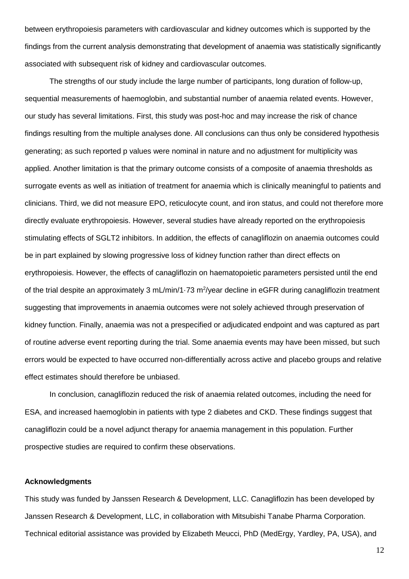between erythropoiesis parameters with cardiovascular and kidney outcomes which is supported by the findings from the current analysis demonstrating that development of anaemia was statistically significantly associated with subsequent risk of kidney and cardiovascular outcomes.

The strengths of our study include the large number of participants, long duration of follow-up, sequential measurements of haemoglobin, and substantial number of anaemia related events. However, our study has several limitations. First, this study was post-hoc and may increase the risk of chance findings resulting from the multiple analyses done. All conclusions can thus only be considered hypothesis generating; as such reported p values were nominal in nature and no adjustment for multiplicity was applied. Another limitation is that the primary outcome consists of a composite of anaemia thresholds as surrogate events as well as initiation of treatment for anaemia which is clinically meaningful to patients and clinicians. Third, we did not measure EPO, reticulocyte count, and iron status, and could not therefore more directly evaluate erythropoiesis. However, several studies have already reported on the erythropoiesis stimulating effects of SGLT2 inhibitors. In addition, the effects of canagliflozin on anaemia outcomes could be in part explained by slowing progressive loss of kidney function rather than direct effects on erythropoiesis. However, the effects of canagliflozin on haematopoietic parameters persisted until the end of the trial despite an approximately 3 mL/min/1.73 m<sup>2</sup>/year decline in eGFR during canagliflozin treatment suggesting that improvements in anaemia outcomes were not solely achieved through preservation of kidney function. Finally, anaemia was not a prespecified or adjudicated endpoint and was captured as part of routine adverse event reporting during the trial. Some anaemia events may have been missed, but such errors would be expected to have occurred non-differentially across active and placebo groups and relative effect estimates should therefore be unbiased.

In conclusion, canagliflozin reduced the risk of anaemia related outcomes, including the need for ESA, and increased haemoglobin in patients with type 2 diabetes and CKD. These findings suggest that canagliflozin could be a novel adjunct therapy for anaemia management in this population. Further prospective studies are required to confirm these observations.

## **Acknowledgments**

This study was funded by Janssen Research & Development, LLC. Canagliflozin has been developed by Janssen Research & Development, LLC, in collaboration with Mitsubishi Tanabe Pharma Corporation. Technical editorial assistance was provided by Elizabeth Meucci, PhD (MedErgy, Yardley, PA, USA), and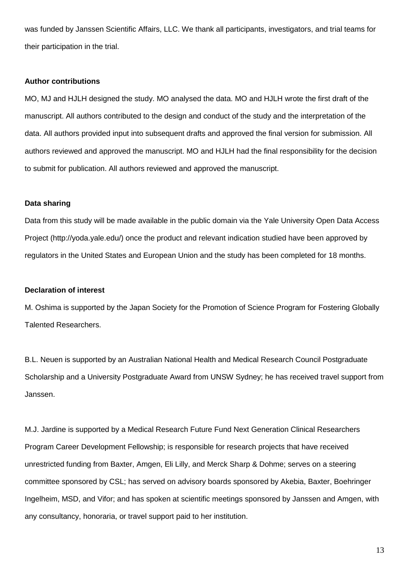was funded by Janssen Scientific Affairs, LLC. We thank all participants, investigators, and trial teams for their participation in the trial.

## **Author contributions**

MO, MJ and HJLH designed the study. MO analysed the data. MO and HJLH wrote the first draft of the manuscript. All authors contributed to the design and conduct of the study and the interpretation of the data. All authors provided input into subsequent drafts and approved the final version for submission. All authors reviewed and approved the manuscript. MO and HJLH had the final responsibility for the decision to submit for publication. All authors reviewed and approved the manuscript.

## **Data sharing**

Data from this study will be made available in the public domain via the Yale University Open Data Access Project (http://yoda.yale.edu/) once the product and relevant indication studied have been approved by regulators in the United States and European Union and the study has been completed for 18 months.

## **Declaration of interest**

M. Oshima is supported by the Japan Society for the Promotion of Science Program for Fostering Globally Talented Researchers.

B.L. Neuen is supported by an Australian National Health and Medical Research Council Postgraduate Scholarship and a University Postgraduate Award from UNSW Sydney; he has received travel support from Janssen.

M.J. Jardine is supported by a Medical Research Future Fund Next Generation Clinical Researchers Program Career Development Fellowship; is responsible for research projects that have received unrestricted funding from Baxter, Amgen, Eli Lilly, and Merck Sharp & Dohme; serves on a steering committee sponsored by CSL; has served on advisory boards sponsored by Akebia, Baxter, Boehringer Ingelheim, MSD, and Vifor; and has spoken at scientific meetings sponsored by Janssen and Amgen, with any consultancy, honoraria, or travel support paid to her institution.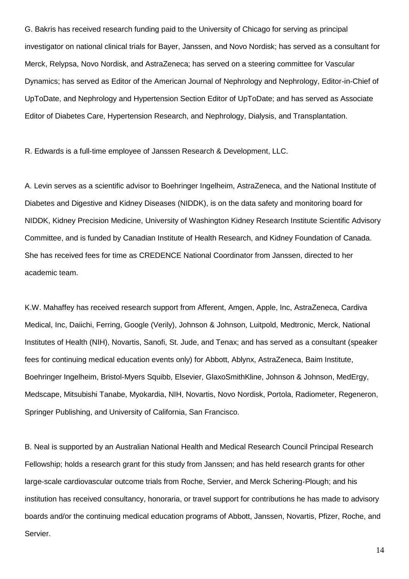G. Bakris has received research funding paid to the University of Chicago for serving as principal investigator on national clinical trials for Bayer, Janssen, and Novo Nordisk; has served as a consultant for Merck, Relypsa, Novo Nordisk, and AstraZeneca; has served on a steering committee for Vascular Dynamics; has served as Editor of the American Journal of Nephrology and Nephrology, Editor-in-Chief of UpToDate, and Nephrology and Hypertension Section Editor of UpToDate; and has served as Associate Editor of Diabetes Care, Hypertension Research, and Nephrology, Dialysis, and Transplantation.

R. Edwards is a full-time employee of Janssen Research & Development, LLC.

A. Levin serves as a scientific advisor to Boehringer Ingelheim, AstraZeneca, and the National Institute of Diabetes and Digestive and Kidney Diseases (NIDDK), is on the data safety and monitoring board for NIDDK, Kidney Precision Medicine, University of Washington Kidney Research Institute Scientific Advisory Committee, and is funded by Canadian Institute of Health Research, and Kidney Foundation of Canada. She has received fees for time as CREDENCE National Coordinator from Janssen, directed to her academic team.

K.W. Mahaffey has received research support from Afferent, Amgen, Apple, Inc, AstraZeneca, Cardiva Medical, Inc, Daiichi, Ferring, Google (Verily), Johnson & Johnson, Luitpold, Medtronic, Merck, National Institutes of Health (NIH), Novartis, Sanofi, St. Jude, and Tenax; and has served as a consultant (speaker fees for continuing medical education events only) for Abbott, Ablynx, AstraZeneca, Baim Institute, Boehringer Ingelheim, Bristol-Myers Squibb, Elsevier, GlaxoSmithKline, Johnson & Johnson, MedErgy, Medscape, Mitsubishi Tanabe, Myokardia, NIH, Novartis, Novo Nordisk, Portola, Radiometer, Regeneron, Springer Publishing, and University of California, San Francisco.

B. Neal is supported by an Australian National Health and Medical Research Council Principal Research Fellowship; holds a research grant for this study from Janssen; and has held research grants for other large-scale cardiovascular outcome trials from Roche, Servier, and Merck Schering-Plough; and his institution has received consultancy, honoraria, or travel support for contributions he has made to advisory boards and/or the continuing medical education programs of Abbott, Janssen, Novartis, Pfizer, Roche, and Servier.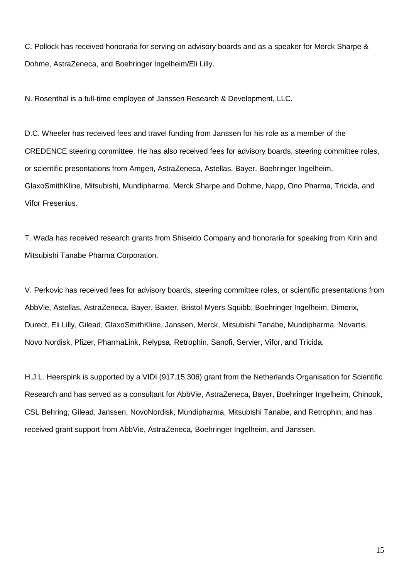C. Pollock has received honoraria for serving on advisory boards and as a speaker for Merck Sharpe & Dohme, AstraZeneca, and Boehringer Ingelheim/Eli Lilly.

N. Rosenthal is a full-time employee of Janssen Research & Development, LLC.

D.C. Wheeler has received fees and travel funding from Janssen for his role as a member of the CREDENCE steering committee. He has also received fees for advisory boards, steering committee roles, or scientific presentations from Amgen, AstraZeneca, Astellas, Bayer, Boehringer Ingelheim, GlaxoSmithKline, Mitsubishi, Mundipharma, Merck Sharpe and Dohme, Napp, Ono Pharma, Tricida, and Vifor Fresenius.

T. Wada has received research grants from Shiseido Company and honoraria for speaking from Kirin and Mitsubishi Tanabe Pharma Corporation.

V. Perkovic has received fees for advisory boards, steering committee roles, or scientific presentations from AbbVie, Astellas, AstraZeneca, Bayer, Baxter, Bristol-Myers Squibb, Boehringer Ingelheim, Dimerix, Durect, Eli Lilly, Gilead, GlaxoSmithKline, Janssen, Merck, Mitsubishi Tanabe, Mundipharma, Novartis, Novo Nordisk, Pfizer, PharmaLink, Relypsa, Retrophin, Sanofi, Servier, Vifor, and Tricida.

H.J.L. Heerspink is supported by a VIDI (917.15.306) grant from the Netherlands Organisation for Scientific Research and has served as a consultant for AbbVie, AstraZeneca, Bayer, Boehringer Ingelheim, Chinook, CSL Behring, Gilead, Janssen, NovoNordisk, Mundipharma, Mitsubishi Tanabe, and Retrophin; and has received grant support from AbbVie, AstraZeneca, Boehringer Ingelheim, and Janssen.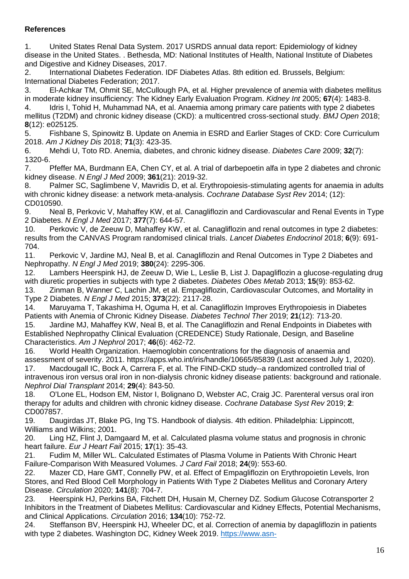# **References**

1. United States Renal Data System. 2017 USRDS annual data report: Epidemiology of kidney disease in the United States. . Bethesda, MD: National Institutes of Health, National Institute of Diabetes and Digestive and Kidney Diseases, 2017.

2. International Diabetes Federation. IDF Diabetes Atlas. 8th edition ed. Brussels, Belgium: International Diabetes Federation; 2017.

3. El-Achkar TM, Ohmit SE, McCullough PA, et al. Higher prevalence of anemia with diabetes mellitus in moderate kidney insufficiency: The Kidney Early Evaluation Program. *Kidney Int* 2005; **67**(4): 1483-8.

4. Idris I, Tohid H, Muhammad NA, et al. Anaemia among primary care patients with type 2 diabetes mellitus (T2DM) and chronic kidney disease (CKD): a multicentred cross-sectional study. *BMJ Open* 2018; **8**(12): e025125.

5. Fishbane S, Spinowitz B. Update on Anemia in ESRD and Earlier Stages of CKD: Core Curriculum 2018. *Am J Kidney Dis* 2018; **71**(3): 423-35.

6. Mehdi U, Toto RD. Anemia, diabetes, and chronic kidney disease. *Diabetes Care* 2009; **32**(7): 1320-6.

7. Pfeffer MA, Burdmann EA, Chen CY, et al. A trial of darbepoetin alfa in type 2 diabetes and chronic kidney disease. *N Engl J Med* 2009; **361**(21): 2019-32.

8. Palmer SC, Saglimbene V, Mavridis D, et al. Erythropoiesis-stimulating agents for anaemia in adults with chronic kidney disease: a network meta-analysis. *Cochrane Database Syst Rev* 2014; (12): CD010590.

9. Neal B, Perkovic V, Mahaffey KW, et al. Canagliflozin and Cardiovascular and Renal Events in Type 2 Diabetes. *N Engl J Med* 2017; **377**(7): 644-57.

10. Perkovic V, de Zeeuw D, Mahaffey KW, et al. Canagliflozin and renal outcomes in type 2 diabetes: results from the CANVAS Program randomised clinical trials. *Lancet Diabetes Endocrinol* 2018; **6**(9): 691- 704.

11. Perkovic V, Jardine MJ, Neal B, et al. Canagliflozin and Renal Outcomes in Type 2 Diabetes and Nephropathy. *N Engl J Med* 2019; **380**(24): 2295-306.

12. Lambers Heerspink HJ, de Zeeuw D, Wie L, Leslie B, List J. Dapagliflozin a glucose-regulating drug with diuretic properties in subjects with type 2 diabetes. *Diabetes Obes Metab* 2013; **15**(9): 853-62.

13. Zinman B, Wanner C, Lachin JM, et al. Empagliflozin, Cardiovascular Outcomes, and Mortality in Type 2 Diabetes. *N Engl J Med* 2015; **373**(22): 2117-28.

14. Maruyama T, Takashima H, Oguma H, et al. Canagliflozin Improves Erythropoiesis in Diabetes Patients with Anemia of Chronic Kidney Disease. *Diabetes Technol Ther* 2019; **21**(12): 713-20.

15. Jardine MJ, Mahaffey KW, Neal B, et al. The Canagliflozin and Renal Endpoints in Diabetes with Established Nephropathy Clinical Evaluation (CREDENCE) Study Rationale, Design, and Baseline Characteristics. *Am J Nephrol* 2017; **46**(6): 462-72.

16. World Health Organization. Haemoglobin concentrations for the diagnosis of anaemia and assessment of severity. 2011. https://apps.who.int/iris/handle/10665/85839 (Last accessed July 1, 2020). 17. Macdougall IC, Bock A, Carrera F, et al. The FIND-CKD study--a randomized controlled trial of intravenous iron versus oral iron in non-dialysis chronic kidney disease patients: background and rationale.

*Nephrol Dial Transplant* 2014; **29**(4): 843-50. 18. O'Lone EL, Hodson EM, Nistor I, Bolignano D, Webster AC, Craig JC. Parenteral versus oral iron therapy for adults and children with chronic kidney disease. *Cochrane Database Syst Rev* 2019; **2**: CD007857.

19. Daugirdas JT, Blake PG, Ing TS. Handbook of dialysis. 4th edition. Philadelphia: Lippincott, Williams and Wilkins; 2001.

20. Ling HZ, Flint J, Damgaard M, et al. Calculated plasma volume status and prognosis in chronic heart failure. *Eur J Heart Fail* 2015; **17**(1): 35-43.

21. Fudim M, Miller WL. Calculated Estimates of Plasma Volume in Patients With Chronic Heart Failure-Comparison With Measured Volumes. *J Card Fail* 2018; **24**(9): 553-60.

22. Mazer CD, Hare GMT, Connelly PW, et al. Effect of Empagliflozin on Erythropoietin Levels, Iron Stores, and Red Blood Cell Morphology in Patients With Type 2 Diabetes Mellitus and Coronary Artery Disease. *Circulation* 2020; **141**(8): 704-7.

23. Heerspink HJ, Perkins BA, Fitchett DH, Husain M, Cherney DZ. Sodium Glucose Cotransporter 2 Inhibitors in the Treatment of Diabetes Mellitus: Cardiovascular and Kidney Effects, Potential Mechanisms, and Clinical Applications. *Circulation* 2016; **134**(10): 752-72.

24. Steffanson BV, Heerspink HJ, Wheeler DC, et al. Correction of anemia by dapagliflozin in patients with type 2 diabetes. Washington DC, Kidney Week 2019. [https://www.asn-](https://www.asn-online.org/education/kidneyweek/2019/program-abstract.aspx?controlId=3236721)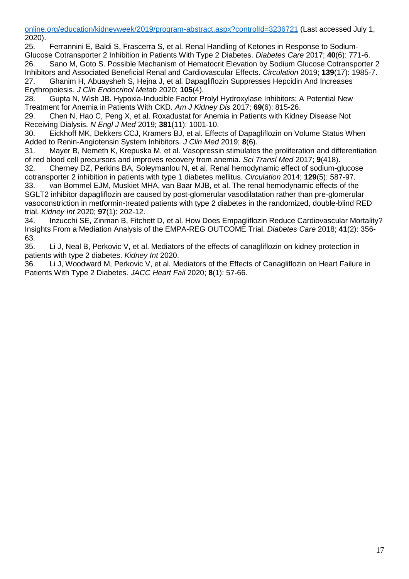[online.org/education/kidneyweek/2019/program-abstract.aspx?controlId=3236721](https://www.asn-online.org/education/kidneyweek/2019/program-abstract.aspx?controlId=3236721) (Last accessed July 1, 2020).

25. Ferrannini E, Baldi S, Frascerra S, et al. Renal Handling of Ketones in Response to Sodium-Glucose Cotransporter 2 Inhibition in Patients With Type 2 Diabetes. *Diabetes Care* 2017; **40**(6): 771-6. 26. Sano M, Goto S. Possible Mechanism of Hematocrit Elevation by Sodium Glucose Cotransporter 2 Inhibitors and Associated Beneficial Renal and Cardiovascular Effects. *Circulation* 2019; **139**(17): 1985-7. 27. Ghanim H, Abuaysheh S, Hejna J, et al. Dapagliflozin Suppresses Hepcidin And Increases

Erythropoiesis. *J Clin Endocrinol Metab* 2020; **105**(4).

28. Gupta N, Wish JB. Hypoxia-Inducible Factor Prolyl Hydroxylase Inhibitors: A Potential New Treatment for Anemia in Patients With CKD. *Am J Kidney Dis* 2017; **69**(6): 815-26.

29. Chen N, Hao C, Peng X, et al. Roxadustat for Anemia in Patients with Kidney Disease Not Receiving Dialysis. *N Engl J Med* 2019; **381**(11): 1001-10.

30. Eickhoff MK, Dekkers CCJ, Kramers BJ, et al. Effects of Dapagliflozin on Volume Status When Added to Renin-Angiotensin System Inhibitors. *J Clin Med* 2019; **8**(6).

31. Mayer B, Nemeth K, Krepuska M, et al. Vasopressin stimulates the proliferation and differentiation of red blood cell precursors and improves recovery from anemia. *Sci Transl Med* 2017; **9**(418).

32. Cherney DZ, Perkins BA, Soleymanlou N, et al. Renal hemodynamic effect of sodium-glucose cotransporter 2 inhibition in patients with type 1 diabetes mellitus. *Circulation* 2014; **129**(5): 587-97.

33. van Bommel EJM, Muskiet MHA, van Baar MJB, et al. The renal hemodynamic effects of the SGLT2 inhibitor dapagliflozin are caused by post-glomerular vasodilatation rather than pre-glomerular vasoconstriction in metformin-treated patients with type 2 diabetes in the randomized, double-blind RED trial. *Kidney Int* 2020; **97**(1): 202-12.

34. Inzucchi SE, Zinman B, Fitchett D, et al. How Does Empagliflozin Reduce Cardiovascular Mortality? Insights From a Mediation Analysis of the EMPA-REG OUTCOME Trial. *Diabetes Care* 2018; **41**(2): 356- 63.<br>35.

Li J, Neal B, Perkovic V, et al. Mediators of the effects of canagliflozin on kidney protection in patients with type 2 diabetes. *Kidney Int* 2020.

36. Li J, Woodward M, Perkovic V, et al. Mediators of the Effects of Canagliflozin on Heart Failure in Patients With Type 2 Diabetes. *JACC Heart Fail* 2020; **8**(1): 57-66.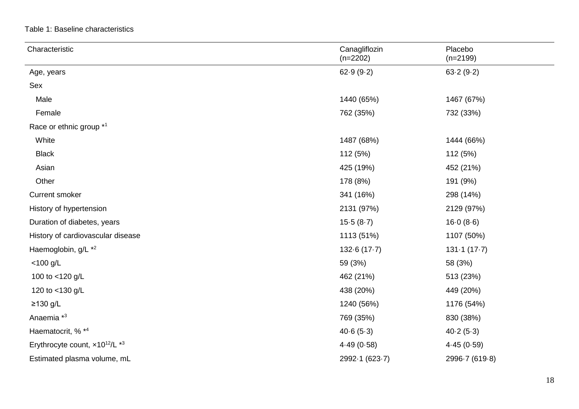Table 1: Baseline characteristics

| Characteristic                                        | Canagliflozin<br>$(n=2202)$ | Placebo<br>$(n=2199)$ |
|-------------------------------------------------------|-----------------------------|-----------------------|
| Age, years                                            | 62.9(9.2)                   | 63.2(9.2)             |
| Sex                                                   |                             |                       |
| Male                                                  | 1440 (65%)                  | 1467 (67%)            |
| Female                                                | 762 (35%)                   | 732 (33%)             |
| Race or ethnic group *1                               |                             |                       |
| White                                                 | 1487 (68%)                  | 1444 (66%)            |
| <b>Black</b>                                          | 112 (5%)                    | 112 (5%)              |
| Asian                                                 | 425 (19%)                   | 452 (21%)             |
| Other                                                 | 178 (8%)                    | 191 (9%)              |
| <b>Current smoker</b>                                 | 341 (16%)                   | 298 (14%)             |
| History of hypertension                               | 2131 (97%)                  | 2129 (97%)            |
| Duration of diabetes, years                           | 15.5(8.7)                   | 16.0(8.6)             |
| History of cardiovascular disease                     | 1113 (51%)                  | 1107 (50%)            |
| Haemoglobin, g/L *2                                   | 132.6(17.7)                 | 131.1(17.7)           |
| $<$ 100 g/L                                           | 59 (3%)                     | 58 (3%)               |
| 100 to <120 g/L                                       | 462 (21%)                   | 513 (23%)             |
| 120 to <130 g/L                                       | 438 (20%)                   | 449 (20%)             |
| $≥130$ g/L                                            | 1240 (56%)                  | 1176 (54%)            |
| Anaemia <sup>*3</sup>                                 | 769 (35%)                   | 830 (38%)             |
| Haematocrit, % *4                                     | 40.6(5.3)                   | 40.2(5.3)             |
| Erythrocyte count, x10 <sup>12</sup> /L <sup>*3</sup> | 4.49(0.58)                  | 4.45(0.59)            |
| Estimated plasma volume, mL                           | 2992-1 (623-7)              | 2996-7 (619-8)        |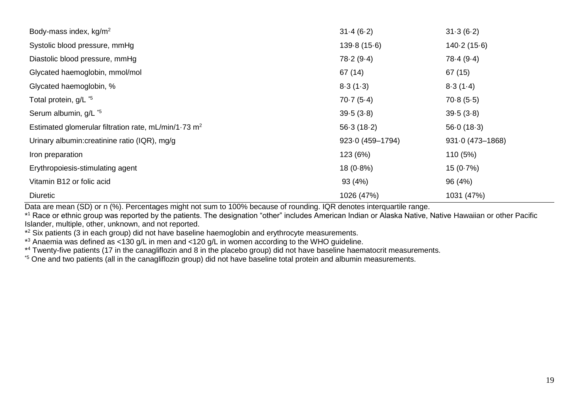| Body-mass index, kg/m <sup>2</sup>                     | 31.4(6.2)        | 31.3(6.2)                  |
|--------------------------------------------------------|------------------|----------------------------|
| Systolic blood pressure, mmHg                          | 139.8(15.6)      | 140.2(15.6)                |
| Diastolic blood pressure, mmHg                         | 78.2(9.4)        | 78.4(9.4)                  |
| Glycated haemoglobin, mmol/mol                         | 67 (14)          | 67(15)                     |
| Glycated haemoglobin, %                                | 8.3(1.3)         | 8.3(1.4)                   |
| Total protein, g/L *5                                  | 70.7(5.4)        | 70.8(5.5)                  |
| Serum albumin, g/L *5                                  | 39.5(3.8)        | 39.5(3.8)                  |
| Estimated glomerular filtration rate, mL/min/1.73 $m2$ | 56.3(18.2)       | 56.0(18.3)                 |
| Urinary albumin: creatinine ratio (IQR), mg/g          | 923.0 (459-1794) | $931 \cdot 0 (473 - 1868)$ |
| Iron preparation                                       | 123 (6%)         | 110(5%)                    |
| Erythropoiesis-stimulating agent                       | $18(0.8\%)$      | $15(0.7\%)$                |
| Vitamin B12 or folic acid                              | 93 (4%)          | 96 (4%)                    |
| <b>Diuretic</b>                                        | 1026 (47%)       | 1031 (47%)                 |

Data are mean (SD) or n (%). Percentages might not sum to 100% because of rounding. IQR denotes interquartile range.

\* <sup>1</sup> Race or ethnic group was reported by the patients. The designation "other" includes American Indian or Alaska Native, Native Hawaiian or other Pacific Islander, multiple, other, unknown, and not reported.

\*<sup>2</sup> Six patients (3 in each group) did not have baseline haemoglobin and erythrocyte measurements.

\* <sup>3</sup> Anaemia was defined as <130 g/L in men and <120 g/L in women according to the WHO guideline.

\* <sup>4</sup> Twenty-five patients (17 in the canagliflozin and 8 in the placebo group) did not have baseline haematocrit measurements.

\*<sup>5</sup> One and two patients (all in the canagliflozin group) did not have baseline total protein and albumin measurements.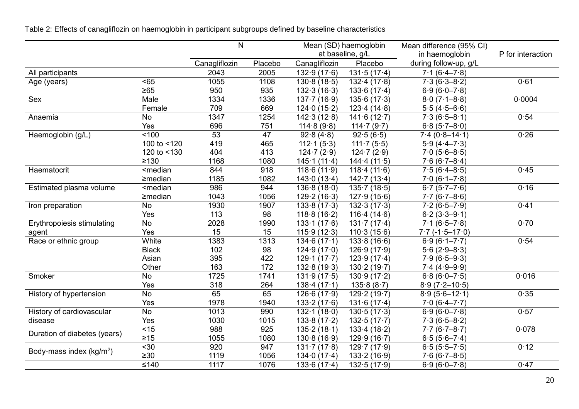Table 2: Effects of canagliflozin on haemoglobin in participant subgroups defined by baseline characteristics

|                              |                                                                                                                                            | N             |                  |                            | Mean (SD) haemoglobin       | Mean difference (95% CI) |                   |
|------------------------------|--------------------------------------------------------------------------------------------------------------------------------------------|---------------|------------------|----------------------------|-----------------------------|--------------------------|-------------------|
|                              |                                                                                                                                            |               |                  |                            | at baseline, g/L            | in haemoglobin           | P for interaction |
|                              |                                                                                                                                            | Canagliflozin | Placebo          | Canagliflozin              | Placebo                     | during follow-up, g/L    |                   |
| All participants             |                                                                                                                                            | 2043          | 2005             | 132.9(17.6)                | 131.5(17.4)                 | $7.1(6.4 - 7.8)$         |                   |
| Age (years)                  | $65$                                                                                                                                       | 1055          | 1108             | 130.8(18.5)                | 132.4(17.8)                 | $7.3(6.3-8.2)$           | 0.61              |
|                              | $\geq 65$                                                                                                                                  | 950           | 935              | 132.3(16.3)                | 133.6(17.4)                 | $6.9(6.0 - 7.8)$         |                   |
| Sex                          | Male                                                                                                                                       | 1334          | 1336             | 137.7(16.9)                | 135.6(17.3)                 | $8.0(7.1 - 8.8)$         | 0.0004            |
|                              | Female                                                                                                                                     | 709           | 669              | 124.0(15.2)                | 123.4(14.8)                 | $5.5(4.5-6.6)$           |                   |
| Anaemia                      | No                                                                                                                                         | 1347          | 1254             | 142.3(12.8)                | 141.6(12.7)                 | $7.3(6.5 - 8.1)$         | 0.54              |
|                              | Yes                                                                                                                                        | 696           | 751              | 114.8(9.8)                 | 114 $\cdot$ 7 (9 $\cdot$ 7) | $6.8(5.7 - 8.0)$         |                   |
| Haemoglobin (g/L)            | < 100                                                                                                                                      | 53            | 47               | 92.8(4.8)                  | 92.5(6.5)                   | $7.4(0.8 - 14.1)$        | 0.26              |
|                              | 100 to <120                                                                                                                                | 419           | 465              | 112.1(5.3)                 | $111 \cdot 7(5.5)$          | $5.9(4.4 - 7.3)$         |                   |
|                              | 120 to <130                                                                                                                                | 404           | 413              | 124.7(2.9)                 | 124.7(2.9)                  | $7.0(5.6-8.5)$           |                   |
|                              | $\geq 130$                                                                                                                                 | 1168          | 1080             | 145.1(11.4)                | 144.4(11.5)                 | $7.6(6.7 - 8.4)$         |                   |
| Haematocrit                  | <median< td=""><td>844</td><td>918</td><td>118.6(11.9)</td><td>118.4(11.6)</td><td><math>7.5(6.4 - 8.5)</math></td><td>0.45</td></median<> | 844           | 918              | 118.6(11.9)                | 118.4(11.6)                 | $7.5(6.4 - 8.5)$         | 0.45              |
|                              | $\geq$ median                                                                                                                              | 1185          | 1082             | 143.0(13.4)                | 142.7(13.4)                 | $7.0(6.1 - 7.8)$         |                   |
| Estimated plasma volume      | <median< td=""><td>986</td><td>944</td><td>136.8(18.0)</td><td>135.7(18.5)</td><td><math>6.7(5.7 - 7.6)</math></td><td>0.16</td></median<> | 986           | 944              | 136.8(18.0)                | 135.7(18.5)                 | $6.7(5.7 - 7.6)$         | 0.16              |
|                              | $\geq$ median                                                                                                                              | 1043          | 1056             | 129.2(16.3)                | 127.9(15.6)                 | $7.7(6.7-8.6)$           |                   |
| Iron preparation             | <b>No</b>                                                                                                                                  | 1930          | 1907             | 133.8(17.3)                | 132.3(17.3)                 | $7.2(6.5 - 7.9)$         | 0.41              |
|                              | Yes                                                                                                                                        | 113           | 98               | 118.8(16.2)                | 116.4(14.6)                 | $6.2(3.3-9.1)$           |                   |
| Erythropoiesis stimulating   | No                                                                                                                                         | 2028          | 1990             | $133 \cdot 1 (17 \cdot 6)$ | 131.7(17.4)                 | $7.1(6.5 - 7.8)$         | 0.70              |
| agent                        | Yes                                                                                                                                        | 15            | 15               | 115.9(12.3)                | 110.3(15.6)                 | $7.7(-1.5-17.0)$         |                   |
| Race or ethnic group         | White                                                                                                                                      | 1383          | 1313             | 134.6(17.1)                | 133.8(16.6)                 | $6.9(6.1 - 7.7)$         | 0.54              |
|                              | <b>Black</b>                                                                                                                               | 102           | 98               | 124.9(17.0)                | 126.9(17.9)                 | $5.6(2.9 - 8.3)$         |                   |
|                              | Asian                                                                                                                                      | 395           | 422              | 129.1(17.7)                | 123.9(17.4)                 | $7.9(6.5-9.3)$           |                   |
|                              | Other                                                                                                                                      | 163           | 172              | 132.8(19.3)                | 130.2(19.7)                 | $7.4(4.9-9.9)$           |                   |
| Smoker                       | <b>No</b>                                                                                                                                  | 1725          | 1741             | 131.9(17.5)                | 130.9(17.2)                 | $6.8(6.0 - 7.5)$         | 0.016             |
|                              | Yes                                                                                                                                        | 318           | 264              | 138.4(17.1)                | 135.8(8.7)                  | $8.9(7.2 - 10.5)$        |                   |
| History of hypertension      | <b>No</b>                                                                                                                                  | 65            | 65               | 126.6(17.9)                | 129.2(19.7)                 | $8.9(5.6 - 12.1)$        | 0.35              |
|                              | Yes                                                                                                                                        | 1978          | 1940             | 133.2(17.6)                | 131.6(17.4)                 | $7.0(6.4 - 7.7)$         |                   |
| History of cardiovascular    | No                                                                                                                                         | 1013          | 990              | $132 \cdot 1 (18 \cdot 0)$ | 130.5(17.3)                 | $6.9(6.0 - 7.8)$         | 0.57              |
| disease                      | Yes                                                                                                                                        | 1030          | 1015             | 133.8(17.2)                | 132.5(17.7)                 | $7.3(6.5-8.2)$           |                   |
| Duration of diabetes (years) | $\overline{5}$                                                                                                                             | 988           | 925              | 135.2(18.1)                | 133.4(18.2)                 | $7.7(6.7 - 8.7)$         | 0.078             |
|                              | $\geq 15$                                                                                                                                  | 1055          | 1080             | 130.8(16.9)                | 129.9(16.7)                 | $6.5(5.6 - 7.4)$         |                   |
| Body-mass index $(kg/m2)$    | $\overline{30}$                                                                                                                            | 920           | $\overline{947}$ | 131.7(17.8)                | 129.7(17.9)                 | $6.5(5.5 - 7.5)$         | 0.12              |
|                              | $\geq 30$                                                                                                                                  | 1119          | 1056             | 134.0(17.4)                | 133.2(16.9)                 | $7.6(6.7 - 8.5)$         |                   |
|                              | $≤140$                                                                                                                                     | 1117          | 1076             | 133.6(17.4)                | 132.5(17.9)                 | $6.9(6.0 - 7.8)$         | 0.47              |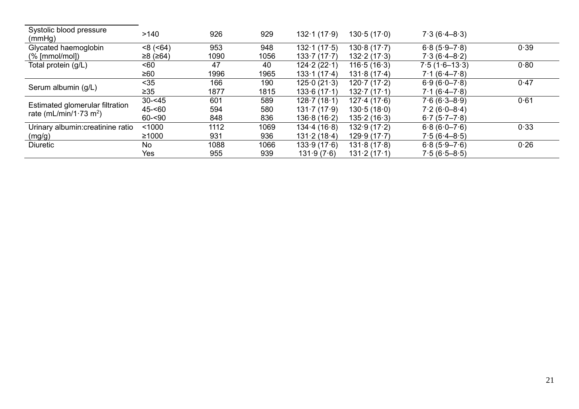| Systolic blood pressure<br>(mmHg)          | >140           | 926  | 929  | 132.1(17.9)               | 130.5(17.0) | $7.3(6.4-8.3)$   |      |
|--------------------------------------------|----------------|------|------|---------------------------|-------------|------------------|------|
| Glycated haemoglobin                       | $<8$ ( $<64$ ) | 953  | 948  | 132.1(17.5)               | 130.8(17.7) | $6.8(5.9 - 7.8)$ | 0.39 |
| $(\%$ [mmol/mol])                          | $≥8$ (≥64)     | 1090 | 1056 | 133.7(17.7)               | 132.2(17.3) | $7.3(6.4 - 8.2)$ |      |
| Total protein (g/L)                        | <60            | 47   | 40   | 124.2(22.1)               | 116.5(16.3) | $7.5(1.6-13.3)$  | 0.80 |
|                                            | ≥60            | 1996 | 1965 | 133.1(17.4)               | 131.8(17.4) | $7.1(6.4 - 7.8)$ |      |
|                                            | $35$           | 166  | 190  | 125.0(21.3)               | 120.7(17.2) | $6.9(6.0 - 7.8)$ | 0.47 |
| Serum albumin (g/L)                        | $\geq 35$      | 1877 | 1815 | 133.6(17.1)               | 132.7(17.1) | $7.1(6.4 - 7.8)$ |      |
|                                            | $30 - 45$      | 601  | 589  | 128.7(18.1)               | 127.4(17.6) | $7.6(6.3 - 8.9)$ | 0.61 |
| Estimated glomerular filtration            | $45 - 60$      | 594  | 580  | $131 \cdot 7(17 \cdot 9)$ | 130.5(18.0) | $7.2(6.0-8.4)$   |      |
| rate (mL/min/1 $\cdot$ 73 m <sup>2</sup> ) | $60 - 90$      | 848  | 836  | 136.8(16.2)               | 135.2(16.3) | $6.7(5.7 - 7.8)$ |      |
| Urinary albumin: creatinine ratio          | < 1000         | 1112 | 1069 | 134.4(16.8)               | 132.9(17.2) | $6.8(6.0 - 7.6)$ | 0.33 |
| (mg/g)                                     | ≥1000          | 931  | 936  | 131.2(18.4)               | 129.9(17.7) | $7.5(6.4 - 8.5)$ |      |
| <b>Diuretic</b>                            | <b>No</b>      | 1088 | 1066 | 133.9(17.6)               | 131.8(17.8) | $6.8(5.9 - 7.6)$ | 0.26 |
|                                            | Yes            | 955  | 939  | 131.9(7.6)                | 131.2(17.1) | $7.5(6.5 - 8.5)$ |      |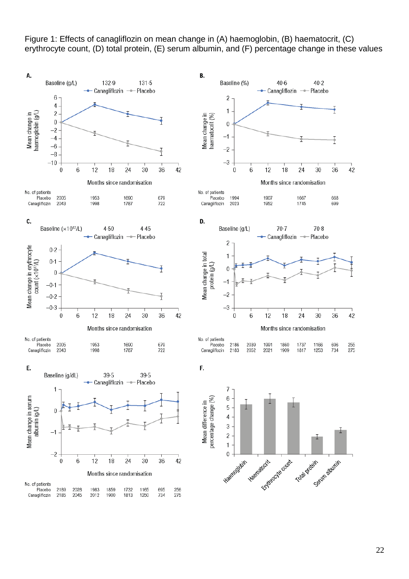

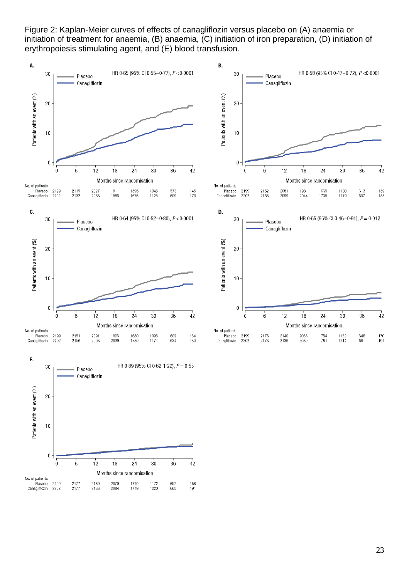Figure 2: Kaplan-Meier curves of effects of canagliflozin versus placebo on (A) anaemia or initiation of treatment for anaemia, (B) anaemia, (C) initiation of iron preparation, (D) initiation of erythropoiesis stimulating agent, and (E) blood transfusion.

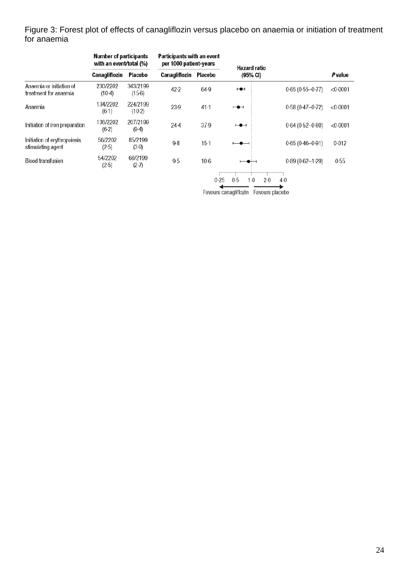Figure 3: Forest plot of effects of canagliflozin versus placebo on anaemia or initiation of treatment for anaemia

|                                                   | <b>Number of participants</b><br>with an event/total (%) |                      | Participants with an event<br>per 1000 patient-years |          | <b>Hazard ratio</b>      |                     |          |
|---------------------------------------------------|----------------------------------------------------------|----------------------|------------------------------------------------------|----------|--------------------------|---------------------|----------|
|                                                   | <b>Canagliflozin</b>                                     | Placebo              | Canagliflozin                                        | Placebo  | (95% CI)                 |                     | Pvalue   |
| Anaemia or initiation of<br>treatment for anaemia | 230/2202<br>$(10-4)$                                     | 343/2199<br>$(15-6)$ | 42.2                                                 | 64.9     | $H +$                    | $0.65(0.55 - 0.77)$ | < 0.0001 |
| Anaemia                                           | 134/2202<br>$(6-1)$                                      | 224/2199<br>$(10-2)$ | 23.9                                                 | $41 - 1$ | $\overline{\phantom{a}}$ | $0.58(0.47 - 0.72)$ | < 0.0001 |
| Initiation of iron preparation                    | 136/2202<br>(6.2)                                        | 207/2199<br>(9.4)    | $24-4$                                               | 37.9     | $\overline{\phantom{a}}$ | $0.64(0.52 - 0.80)$ | < 0.0001 |
| Initiation of erythropoiesis<br>stimulating agent | 56/2202<br>$(2-5)$                                       | 85/2199<br>(3.9)     | $9-8$                                                | $15-1$   | $\overline{\phantom{a}}$ | $0.65(0.46 - 0.91)$ | 0.012    |
| <b>Blood transfusion</b>                          | 54/2202<br>(2.5)                                         | 60/2199<br>$(2-7)$   | 9.5                                                  | $10-6$   | ⊷                        | $0.89(0.62 - 1.29)$ | 0.55     |
|                                                   |                                                          |                      |                                                      | 0.25     | 0.5<br>$1-0$<br>$2-0$    | $4-0$               |          |

Favours canagliflozin Favours placebo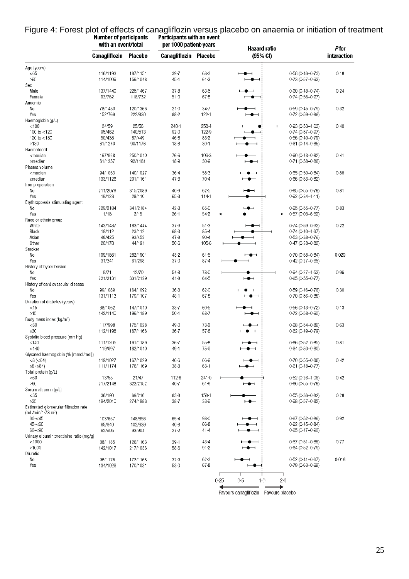|                                                                                                                                                                                                                    | with an event/total |          | per 1000 patient-years |                    | <b>Hazard ratio</b>                                      | Pfor        |
|--------------------------------------------------------------------------------------------------------------------------------------------------------------------------------------------------------------------|---------------------|----------|------------------------|--------------------|----------------------------------------------------------|-------------|
|                                                                                                                                                                                                                    | Canagliflozin       | Placebo  | Canagliflozin          | Placebo            | (95% CI)                                                 | interaction |
| Age (years)                                                                                                                                                                                                        |                     |          |                        |                    |                                                          |             |
| <65                                                                                                                                                                                                                | 116/1193            | 187/1151 | $39 - 7$               | $68-3$             | $0.58(0.46 - 0.73)$<br>$\overline{\phantom{a}}$          | 0.18        |
| $\geq 65$<br>Sex                                                                                                                                                                                                   | 114/1009            | 156/1048 | $45 - 1$               | $61-3$             | $0.73(0.57 - 0.93)$<br>$\bullet$                         |             |
| Male                                                                                                                                                                                                               | 137/1440            | 225/1467 | $37 - 8$               | $63 - 5$           | $0.60(0.48 - 0.74)$<br>⊢●⊣                               | 0.24        |
| Female                                                                                                                                                                                                             | 93/762              | 118/732  | $51-0$                 | $67 - 8$           | 0-74 (0-56-0-97)<br>$\bullet$                            |             |
| Anaemia                                                                                                                                                                                                            |                     |          |                        |                    |                                                          |             |
| No                                                                                                                                                                                                                 | 78/1430             | 120/1366 | $21 - 0$               | 34.7               | $0.59(0.45 - 0.79)$<br>$\overline{\phantom{0}}$<br>-0    | 0.32        |
| Yes                                                                                                                                                                                                                | 152/769             | 222/830  | $88 - 2$               | $122 - 1$          | $\overline{\phantom{a}}$<br>$0.72(0.59 - 0.89)$          |             |
| Haemoglobin (g/L)                                                                                                                                                                                                  |                     |          |                        |                    |                                                          |             |
| $<$ 100                                                                                                                                                                                                            | 24/59               | 25/58    | $240 - 1$              | $258 - 4$          | $0.93(0.53 - 1.63)$<br>Ð                                 | 0.40        |
| 100 to $<$ 120                                                                                                                                                                                                     | 95/462              | 140/513  | $92 - 0$               | 122-9              | $0.74(0.57 - 0.97)$<br>$-$                               |             |
| 120 to <130                                                                                                                                                                                                        | 50/438              | 87/449   | $46 - 8$               | $83 - 2$           | $0.56(0.40 - 0.79)$<br>$\bullet$ $\hspace{0.05cm}$       |             |
| $\geq 130$                                                                                                                                                                                                         | 61/1240             | 90/1176  | $18-8$                 | $30 - 1$           | 0-61 (0-44-0-85)<br>۰<br>$\overline{\phantom{0}}$        |             |
| Haematocrit                                                                                                                                                                                                        |                     |          |                        |                    |                                                          |             |
| <median< td=""><td>167/928</td><td>250/1010</td><td>76-6</td><td><math>109-3</math></td><td><math>0.60(0.43 - 0.82)</math><br/><math>\bullet</math> <math>\hspace{0.05cm}\dashv</math></td><td>0.41</td></median<> | 167/928             | 250/1010 | 76-6                   | $109-3$            | $0.60(0.43 - 0.82)$<br>$\bullet$ $\hspace{0.05cm}\dashv$ | 0.41        |
| ≥median                                                                                                                                                                                                            | 61/1257             | 92/1181  | $18-9$                 | $30-9$             | $0.71(0.58 - 0.86)$<br>$\overline{\phantom{a}}$          |             |
| Plasma volume                                                                                                                                                                                                      |                     |          |                        |                    |                                                          |             |
| <median< td=""><td>94/1053</td><td>140/1027</td><td><math>36 - 4</math></td><td><math>58-3</math></td><td><math>0.65(0.50 - 0.84)</math><br/><math>\bullet</math></td><td>0.88</td></median<>                      | 94/1053             | 140/1027 | $36 - 4$               | $58-3$             | $0.65(0.50 - 0.84)$<br>$\bullet$                         | 0.88        |
| ≥median<br>Iron preparation                                                                                                                                                                                        | 133/1126            | 201/1161 | $47-3$                 | $70-4$             | $-\bullet$<br>0-66 (0-53-0-82)                           |             |
| No                                                                                                                                                                                                                 | 211/2079            | 315/2089 | $40-9$                 | $62 - 5$           | $0.65(0.55 - 0.78)$<br>$\overline{\phantom{a}}$          | $0 - 81$    |
| Yes                                                                                                                                                                                                                | 19/123              | 28/110   | $65-3$                 | $114 - 1$          | $0.62(0.34 - 1.11)$                                      |             |
| Erythropoiesis stimulating agent                                                                                                                                                                                   |                     |          |                        |                    |                                                          |             |
| No                                                                                                                                                                                                                 | 229/2184            | 341/2184 | $42 - 3$               | $65-0$             | $\overline{\phantom{a}}$<br>$0.65(0.55 - 0.77)$          | $0 - 83$    |
| Yes                                                                                                                                                                                                                | 1/18                | 2/15     | $26 - 1$               | $54-2$             | $0.57(0.05 - 6.52)$                                      |             |
| Race or ethnic group                                                                                                                                                                                               |                     |          |                        |                    |                                                          |             |
| White                                                                                                                                                                                                              | 143/1487            | 183/1444 | $37-9$                 | $51-3$             | $0.74(0.59 - 0.92)$<br>$\overline{\phantom{a}}$          | $0 - 22$    |
| Black                                                                                                                                                                                                              | 19/112              | 23/112   | $68-3$                 | $85 - 4$           | $0.74(0.40 - 1.37)$                                      |             |
| Asian                                                                                                                                                                                                              | 48/425              | 93/452   | $47 - 8$               | $90 - 4$           | $0.53(0.38 - 0.76)$<br>$\overline{\phantom{0}}$          |             |
| Other                                                                                                                                                                                                              | 20/178              | 44/191   | $50-6$                 | $105 - 6$          | $0.47(0.28 - 0.80)$                                      |             |
| Smoker                                                                                                                                                                                                             |                     |          |                        |                    |                                                          |             |
| No                                                                                                                                                                                                                 | 199/1861            | 282/1901 | $43 - 2$               | $61-5$             | $0.70(0.58 - 0.84)$<br>⊢⊕⊣                               | 0.029       |
| Yes                                                                                                                                                                                                                | 31/341              | 61/298   | $37 - 0$               | $87 - 4$           | 0-42 (0-27-0-65)<br>⊣                                    |             |
| History of hypertension                                                                                                                                                                                            |                     |          |                        |                    |                                                          |             |
| No                                                                                                                                                                                                                 | 9/71                | 12/70    | $54-8$                 | 78.0               | $0.64(0.27 - 1.53)$                                      | 0.96        |
| Yes                                                                                                                                                                                                                | 221/2131            | 331/2129 | $41 - 8$               | $64-5$             | $0.65(0.55 - 0.77)$<br>$\mapsto$                         |             |
| History of cardiovascular disease                                                                                                                                                                                  |                     |          |                        |                    |                                                          |             |
| No                                                                                                                                                                                                                 | 99/1089             | 164/1092 | $36-3$                 | $62 - 0$           | $0.59(0.46 - 0.76)$<br>$\overline{\phantom{a}}$          | 0.30        |
| Yes                                                                                                                                                                                                                | 131/1113            | 179/1107 | $48 - 1$               | $67 - 8$           | $\overline{\phantom{a}}$<br>$0.70(0.56 - 0.88)$          |             |
| Duration of diabetes (years)<br>$<$ 15                                                                                                                                                                             | 88/1062             | 147/1010 | $33 - 7$               | $60 - 5$           | $0.56(0.43 - 0.72)$<br>$\overline{\phantom{a}}$          | 0.13        |
| $\geq$ 15                                                                                                                                                                                                          | 142/1140            | 196/1189 | $50-1$                 | $68 - 7$           | 0-72 (0-58-0-90)<br>$-\bullet$                           |             |
| Body mass index (kg/m <sup>2</sup> )                                                                                                                                                                               |                     |          |                        |                    |                                                          |             |
| $30$                                                                                                                                                                                                               | 117/998             | 175/1028 | 49-0                   | $73-2$             | $0.68(0.54 - 0.86)$<br>$-\bullet$                        | 0.63        |
| >30                                                                                                                                                                                                                | 112/1198            | 167/1168 | $36 - 7$               | $57 - 8$           | $\overline{\phantom{a}}$<br>$0.62(0.49 - 0.79)$          |             |
| Systolic blood pressure (mmHg)                                                                                                                                                                                     |                     |          |                        |                    |                                                          |             |
| ≤140                                                                                                                                                                                                               | 111/1205            | 161/1189 | $36 - 7$               | $55-8$             | $0.66(0.52 - 0.85)$<br>$\overline{\phantom{a}}$          | 0.81        |
| >140                                                                                                                                                                                                               | 119/997             | 182/1010 | 49-1                   | 75.9               | $0.64(0.50 - 0.80)$<br>$\overline{\phantom{a}}$          |             |
| Glycated haemoglobin (% [mmol/mol])                                                                                                                                                                                |                     |          |                        |                    |                                                          |             |
| $<8$ ( $<64$ )                                                                                                                                                                                                     | 119/1027            | 167/1029 | 46-6                   | 66-9               | $0.70(0.55 - 0.88)$<br>$\bullet$ $\hspace{0.05cm}$       | 0.42        |
| $≥8$ ( $≥64$ )                                                                                                                                                                                                     | 111/1174            | 176/1169 | $38-3$                 | $63 - 1$           | $0.61(0.48 - 0.77)$                                      |             |
| Total protein (q/L)                                                                                                                                                                                                |                     |          |                        |                    |                                                          |             |
| <60                                                                                                                                                                                                                | 13/53               | 21/47    | $112-8$                | 241.0              | $0.52(0.26 - 1.06)$                                      | 0.42        |
| $\geq 60$                                                                                                                                                                                                          | 217/2148            | 322/2152 | $40 - 7$               | $61-9$             | $0.66(0.55 - 0.78)$<br>$\overline{\phantom{a}}$          |             |
| Serum albumin (g/L)                                                                                                                                                                                                |                     |          |                        |                    |                                                          |             |
| <35                                                                                                                                                                                                                | 36/190              | 69/216   | $83 - 8$               | $158 - 1$          | $0.55(0.36 - 0.82)$                                      | 0.28        |
| $\geq 35$                                                                                                                                                                                                          | 194/2010            | 274/1983 | $38 - 7$               | $33-6$             | $0.68(0.57 - 0.82)$<br>⊢●⊣                               |             |
| Estimated glomerular filtration rate                                                                                                                                                                               |                     |          |                        |                    |                                                          |             |
| (mL/min/1-73 m <sup>2</sup> )                                                                                                                                                                                      |                     |          |                        |                    |                                                          |             |
| $30 - 45$                                                                                                                                                                                                          | 103/657             | 148/656  | $65-4$                 | $98 - 0$           | $0.67(0.52 - 0.86)$<br>$\bullet$ $\hspace{0.05cm}$       | 0.92        |
| $45 - 60$                                                                                                                                                                                                          | 65/640              | 102/639  | $40 - 8$               | $66 - 8$           | $0.62(0.45 - 0.84)$                                      |             |
| $60 - 90$                                                                                                                                                                                                          | 62/905              | 93/904   | $27 - 2$               | $41 - 4$           | $0.65(0.47 - 0.90)$                                      |             |
| Urinary albumin:creatinine ratio (mg/g)                                                                                                                                                                            |                     |          |                        |                    |                                                          |             |
| $<$ 1000                                                                                                                                                                                                           | 88/1185             | 126/1163 | $29 - 1$               | $43 - 4$           | $0.67(0.51 - 0.88)$<br>$\bullet$                         | 0.77        |
| >1000                                                                                                                                                                                                              | 142/1017            | 217/1036 | 58-6                   | $91 - 2$           | 0-64 (0-52-0-79)<br>$\overline{\phantom{a}}$             |             |
| Diuretic                                                                                                                                                                                                           |                     |          |                        |                    |                                                          |             |
| No<br>Yes                                                                                                                                                                                                          | 96/1176             | 173/1168 | $32-9$                 | $62-3$<br>$67 - 8$ | $0.52(0.41 - 0.67)$<br>$\overline{\phantom{a}}$          | 0.018       |
|                                                                                                                                                                                                                    | 134/1026            | 170/1031 | $53-0$                 |                    | $0.79(0.63 - 0.99)$<br>$-\bullet -$                      |             |
|                                                                                                                                                                                                                    |                     |          |                        |                    | 0.25<br>$0.5\,$<br>$1-0$<br>$2-0$                        |             |

# Figure 4: Forest plot of effects of canagliflozin versus placebo on anaemia or initiation of treatment<br>Number of participants Participants with an event

Favours canagliflozin Favours placebo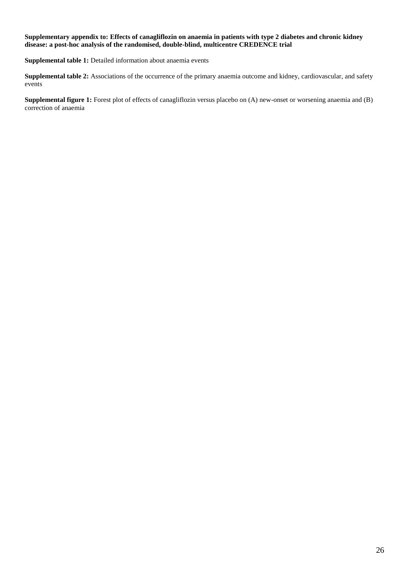#### **Supplementary appendix to: Effects of canagliflozin on anaemia in patients with type 2 diabetes and chronic kidney disease: a post-hoc analysis of the randomised, double-blind, multicentre CREDENCE trial**

**Supplemental table 1:** Detailed information about anaemia events

**Supplemental table 2:** Associations of the occurrence of the primary anaemia outcome and kidney, cardiovascular, and safety events

**Supplemental figure 1:** Forest plot of effects of canagliflozin versus placebo on (A) new-onset or worsening anaemia and (B) correction of anaemia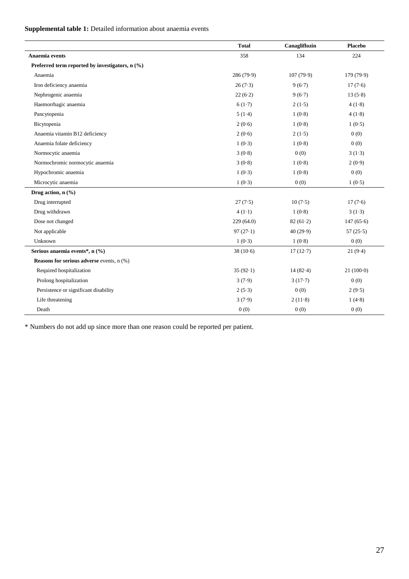# **Supplemental table 1:** Detailed information about anaemia events

|                                                    | <b>Total</b> | Canagliflozin | <b>Placebo</b> |
|----------------------------------------------------|--------------|---------------|----------------|
| Anaemia events                                     | 358          | 134           | 224            |
| Preferred term reported by investigators, n (%)    |              |               |                |
| Anaemia                                            | 286 (79.9)   | 107(79.9)     | 179(79.9)      |
| Iron deficiency anaemia                            | 26(7.3)      | 9(6.7)        | 17(7.6)        |
| Nephrogenic anaemia                                | 22(6.2)      | 9(6.7)        | 13(5.8)        |
| Haemorrhagic anaemia                               | 6(1.7)       | 2(1.5)        | 4(1.8)         |
| Pancytopenia                                       | 5(1.4)       | 1(0.8)        | 4(1.8)         |
| Bicytopenia                                        | 2(0.6)       | 1(0.8)        | 1(0.5)         |
| Anaemia vitamin B12 deficiency                     | 2(0.6)       | 2(1.5)        | 0(0)           |
| Anaemia folate deficiency                          | 1(0.3)       | 1(0.8)        | 0(0)           |
| Normocytic anaemia                                 | 3(0.8)       | 0(0)          | 3(1.3)         |
| Normochromic normocytic anaemia                    | 3(0.8)       | 1(0.8)        | 2(0.9)         |
| Hypochromic anaemia                                | 1(0.3)       | 1(0.8)        | 0(0)           |
| Microcytic anaemia                                 | 1(0.3)       | 0(0)          | 1(0.5)         |
| Drug action, n (%)                                 |              |               |                |
| Drug interrupted                                   | 27(7.5)      | 10(7.5)       | 17(7.6)        |
| Drug withdrawn                                     | $4(1-1)$     | 1(0.8)        | 3(1.3)         |
| Dose not changed                                   | 229(64.0)    | 82(61.2)      | 147(65.6)      |
| Not applicable                                     | 97(27.1)     | 40(29.9)      | 57 $(25.5)$    |
| Unknown                                            | 1(0.3)       | 1(0.8)        | 0(0)           |
| Serious anaemia events*, n (%)                     | 38(10.6)     | 17(12.7)      | 21(9.4)        |
| <b>Reasons for serious adverse</b> events, $n$ (%) |              |               |                |
| Required hospitalization                           | 35(92.1)     | 14(82.4)      | $21(100-0)$    |
| Prolong hospitalization                            | 3(7.9)       | 3(17.7)       | 0(0)           |
| Persistence or significant disability              | 2(5.3)       | 0(0)          | 2(9.5)         |
| Life threatening                                   | 3(7.9)       | 2(11.8)       | 1(4.8)         |
| Death                                              | 0(0)         | 0(0)          | 0(0)           |

\* Numbers do not add up since more than one reason could be reported per patient.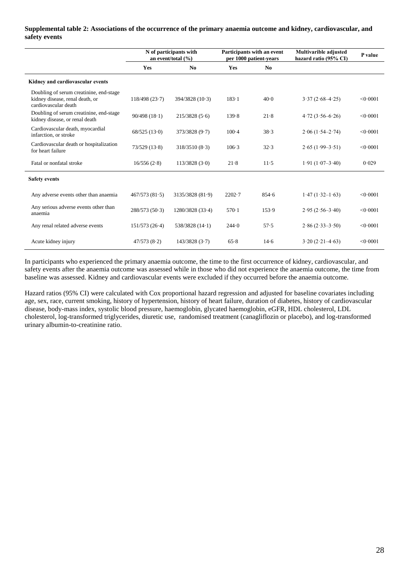#### **Supplemental table 2: Associations of the occurrence of the primary anaemia outcome and kidney, cardiovascular, and safety events**

|                                                                                                    | N of participants with<br>an event/total $(\% )$ |                  |            | Participants with an event<br>per 1000 patient-years | <b>Multivarible adjusted</b><br>hazard ratio (95% CI) | P value  |
|----------------------------------------------------------------------------------------------------|--------------------------------------------------|------------------|------------|------------------------------------------------------|-------------------------------------------------------|----------|
|                                                                                                    | <b>Yes</b>                                       | N <sub>0</sub>   | <b>Yes</b> | N <sub>0</sub>                                       |                                                       |          |
| Kidney and cardiovascular events                                                                   |                                                  |                  |            |                                                      |                                                       |          |
| Doubling of serum creatinine, end-stage<br>kidney disease, renal death, or<br>cardiovascular death | 118/498(23.7)                                    | 394/3828(10.3)   | $183 - 1$  | 40.0                                                 | $3.37(2.68-4.25)$                                     | < 0.0001 |
| Doubling of serum creatinine, end-stage<br>kidney disease, or renal death                          | 90/498(18.1)                                     | 215/3828(5.6)    | 139.8      | 21.8                                                 | $4.72(3.56 - 6.26)$                                   | < 0.0001 |
| Cardiovascular death, myocardial<br>infarction, or stroke                                          | 68/525(13.0)                                     | 373/3828 (9.7)   | $100-4$    | 38.3                                                 | $2.06(1.54 - 2.74)$                                   | < 0.0001 |
| Cardiovascular death or hospitalization<br>for heart failure                                       | 73/529(13.8)                                     | 318/3510(8.3)    | 106.3      | 32.3                                                 | $2.65(1.99-3.51)$                                     | < 0.0001 |
| Fatal or nonfatal stroke                                                                           | 16/556(2.8)                                      | 113/3828(3.0)    | 21.8       | $11-5$                                               | $1.91 (1.07 - 3.40)$                                  | 0.029    |
| <b>Safety events</b>                                                                               |                                                  |                  |            |                                                      |                                                       |          |
| Any adverse events other than anaemia                                                              | 467/573(81.5)                                    | 3135/3828 (81.9) | $2202-7$   | 854.6                                                | $1.47(1.32-1.63)$                                     | < 0.0001 |
| Any serious adverse events other than<br>anaemia                                                   | 288/573(50.3)                                    | 1280/3828(33.4)  | $570-1$    | 153.9                                                | $2.95(2.56 - 3.40)$                                   | < 0.0001 |
| Any renal related adverse events                                                                   | 151/573(26.4)                                    | 538/3828 (14.1)  | 244.0      | 57.5                                                 | $2.86(2.33 - 3.50)$                                   | < 0.0001 |
| Acute kidney injury                                                                                | 47/573(8.2)                                      | 143/3828(3.7)    | 65.8       | 14.6                                                 | $3.20(2.21-4.63)$                                     | < 0.0001 |

In participants who experienced the primary anaemia outcome, the time to the first occurrence of kidney, cardiovascular, and safety events after the anaemia outcome was assessed while in those who did not experience the anaemia outcome, the time from baseline was assessed. Kidney and cardiovascular events were excluded if they occurred before the anaemia outcome.

Hazard ratios (95% CI) were calculated with Cox proportional hazard regression and adjusted for baseline covariates including age, sex, race, current smoking, history of hypertension, history of heart failure, duration of diabetes, history of cardiovascular disease, body-mass index, systolic blood pressure, haemoglobin, glycated haemoglobin, eGFR, HDL cholesterol, LDL cholesterol, log-transformed triglycerides, diuretic use, randomised treatment (canagliflozin or placebo), and log-transformed urinary albumin-to-creatinine ratio.